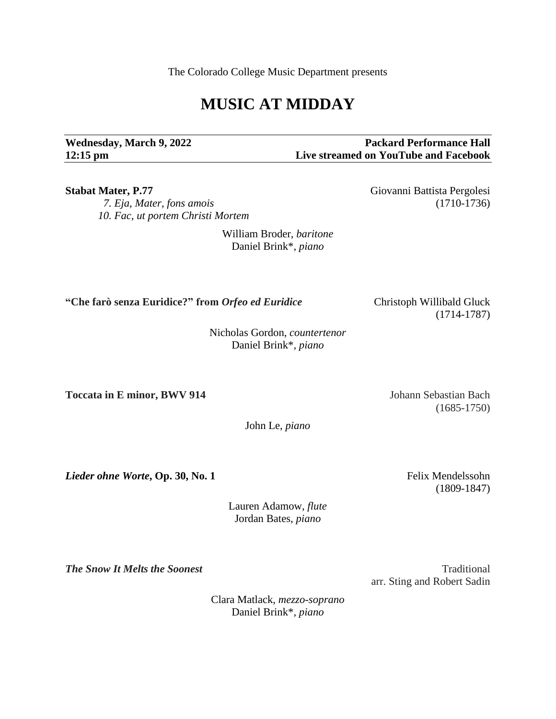The Colorado College Music Department presents

## **MUSIC AT MIDDAY**

**Wednesday, March 9, 2022 Packard Performance Hall 12:15 pm Live streamed on YouTube and Facebook**

 *7. Eja, Mater, fons amois* (1710-1736) *10. Fac, ut portem Christi Mortem*

> William Broder, *baritone* Daniel Brink\**, piano*

**"Che farò senza Euridice?" from** *Orfeo ed Euridice* Christoph Willibald Gluck

Nicholas Gordon, *countertenor* Daniel Brink\**, piano*

**Toccata in E minor, BWV 914** Johann Sebastian Bach

John Le, *piano*

*Lieder ohne Worte*, Op. 30, No. 1 Felix Mendelssohn

Lauren Adamow, *flute* Jordan Bates, *piano*

*The Snow It Melts the Soonest* Traditional Association of Traditional Association of Traditional Association of Traditional Association of Traditional Association of Traditional Association of Traditional Association of

arr. Sting and Robert Sadin

Clara Matlack*, mezzo-soprano* Daniel Brink\**, piano*

(1714-1787)

(1685-1750)

(1809-1847)

**Stabat Mater, P.77** Giovanni Battista Pergolesi